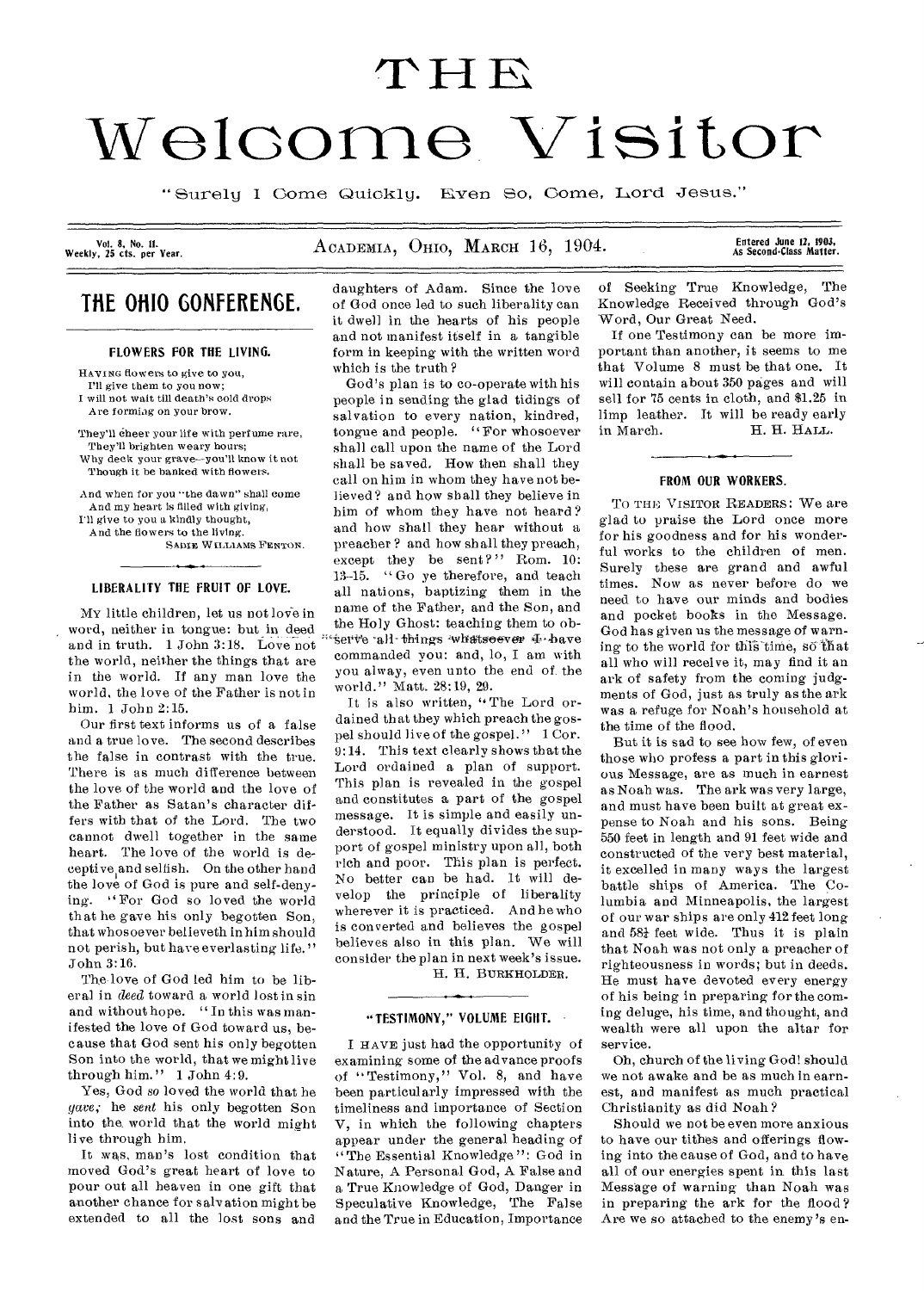# THE Welcome Visitor

"Surely I Come Quickly. Even So, Come, Lord Jesus."

Vol. 8, No. 11.<br>Weekly, 25 cts. per Year.

ACADEMIA, OHIO, MARCH 16, 1904.

Entered June 12, 1903,<br>As Second•Class Matter.

## THE OHIO GONFERENGE.

#### FLOWERS FOR THE LIVING.

HAVING flowers to give to you, I'll give them to you now; I will not wait till death's cold drops Are forming on your brow.

They'll cheer your life with perfume rare, They'll brighten weary hours;

Why deck your grave—you'll know it not Though it be banked with flowers.

And when for you "the dawn" shall come And my heart is filled with giving, Ill give to you a kindly thought, And the flowers to the living.

SADIE W ILLIAMS FENTON.

#### LIBERALITY THE FRUIT OF LOVE.

MY little children, let us not love in word, neither in tongue: but in deed and in truth. 1 John 3:18. Love not the world, neither the things that are in the world. If any man love the world, the love of the Father is not in him. 1 John 2:15.

Our first text informs us of a false and a true love. The second describes the false in contrast with the true. There is as much difference between the love of the world and the love of the Father as Satan's character differs with that of the Lord. The two cannot dwell together in the same heart. The love of the world is deceptive and selfish. On the other hand the love of God is pure and self-denying. "For God so loved the world that he gave his only begotten Son, that whosoever believeth in him should not perish, but have everlasting life." John 3:16.

The love of God led him to be liberal in *deed* toward a world lost in sin and without hope. "In this was manifested the love of God toward us, because that God sent his only begotten Son into the world, that we might live through him." 1 John 4:9.

Yes, God *so* loved the world that he gave; he *sent* his only begotten Son into the. world that the world might live through him.

It was, man's lost condition that moved God's great heart of love to pour out all heaven in one gift that another chance for salvation might be extended to all the lost sons and

daughters of Adam. Since the love of God once led to such liberality can it dwell in the hearts of his people and not manifest itself in a tangible form in keeping with the written word which is the truth?

God's plan is to co-operate with his people in sending the glad tidings of salvation to every nation, kindred, tongue and people. "For whosoever shall call upon the name of the Lord shall be saved. How then shall they call on him in whom they have not believed? and how shall they believe in him of whom they have not heard ? and how shall they hear without a preacher ? and how shall they preach, except they be sent?" Rom. 10: 13-15. "Go ye therefore, and teach all nations, baptizing them in the name of the Father, and the Son, and the Holy Ghost: teaching them to ob- 'serve 'all things whatsoever 4 have commanded you: and, lo, I am with you alway, even unto the end of. the world." Matt. 28:19, 29.

It is also written, "The Lord ordained that they which preach the gospel should live of the gospel." 1 Cor. 9:14. This text clearly shows that the Lord ordained a plan of support. This plan is revealed in the gospel and constitutes a part of the gospel message. It is simple and easily understood. It equally divides the support of gospel ministry upon all, both rich and poor. This plan is perfect. No better can be had. It will develop the principle of liberality wherever it is practiced. And he who is converted and believes the gospel believes also in this plan. We will consider the plan in next week's issue.

H. H. BURKHOLDER.

#### "TESTIMONY," VOLUME EIGHT.

I HAVE just had the opportunity of examining some of the advance proofs of "Testimony," Vol. 8, and have been particularly impressed with the timeliness and importance of Section V, in which the following chapters appear under the general heading of "The Essential Knowledge": God in Nature, A Personal God, A False and a True Knowledge of God, Danger in Speculative Knowledge, The False and the True in Education, Importance

of Seeking True Knowledge, The Knowledge Received through God's Word, Our Great Need.

If one Testimony can be more important than another, it seems to me that Volume 8 must be that one. It will contain about 350 pages and will sell for 75 cents in cloth, and \$1.25 in limp leather. It will be ready early<br>in March. H. H. HALL. H. H. HALL.

#### FROM OUR WORKERS.

To THE VISITOR READERS: We are glad to praise the Lord once more for his goodness and for his wonderful works to the children of men. Surely these are grand and awful times. Now as never before do we need to have our minds and bodies and pocket books in the Message. God has given us the message of warning to the world for this time, so that all who will receive it, may find it an ark of safety from the coming judgments of God, just as truly as the ark was a refuge for Noah's household at the time of the flood.

But it is sad to see how few, of even those who profess a part in this glorious Message, are as much in earnest as Noah was. The ark was very large, and must have been built at great expense to Noah and his sons. Being 550 feet in length and 91 feet wide and constructed of the very best material, it excelled in many ways the largest battle ships of America. The Columbia and Minneapolis, the largest of our war ships are only 412 feet long and 581 feet wide. Thus it is plain that Noah was not only a preacher of righteousness in words; but in deeds. He must have devoted every energy of his being in preparing for the coming deluge, his time, and thought, and wealth were all upon the altar for service.

Oh, church of the living God! should we not awake and be as much in earnest, and manifest as much practical Christianity as did Noah?

Should we not be even more anxious to have our tithes and offerings flowing into the cause of God, and to have all of our energies spent in this last Message of warning than Noah was in preparing the ark for the flood? Are we so attached to the enemy's en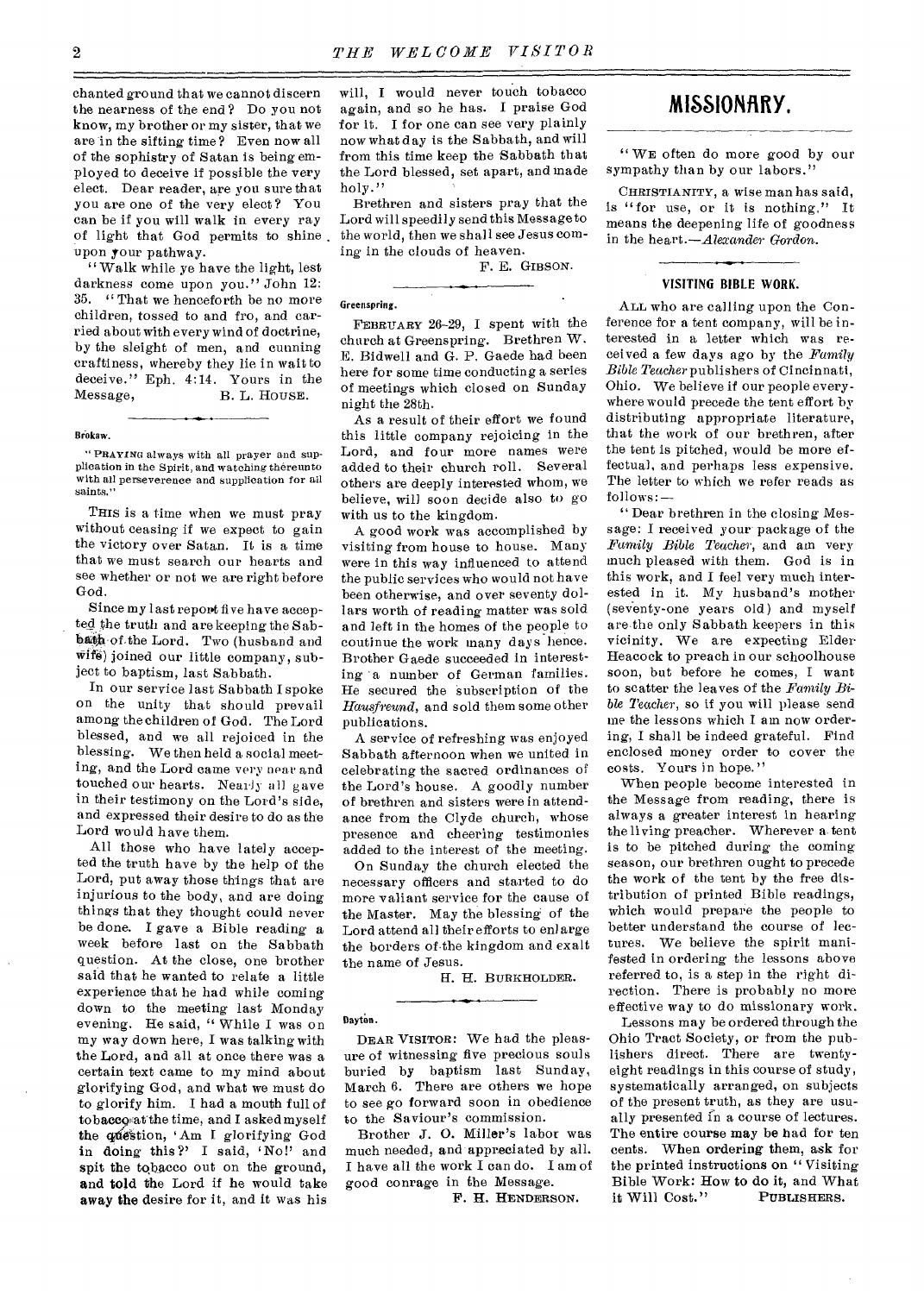chanted ground that we cannot discern the nearness of the end? Do you not know, my brother or my sister, that we are in the sifting time? Even now all of the sophistry of Satan is being employed to deceive if possible the very elect. Dear reader, are you sure that you are one of the very elect? You can be if you will walk in every ray of light that God permits to shine the world, then we shall see Jesus comupon your pathway.

"Walk while ye have the light, lest darkness come upon you." John 12: 35. " That we henceforth be no more children, tossed to and fro, and carried about with every wind of doctrine, by the sleight of men, and cunning craftiness, whereby they lie in wait to deceive." Eph. 4:14. Yours in the<br>Message, B. L. HOUSE. B. L. HOUSE.

#### Brokaw.

"PRAYING always with all prayer and supplication in the Spirit, and watching thereunto with all perseverence and supplication for all saints.'

THIS is a time when we must pray without ceasing if we expect to gain the victory over Satan. It is a time that we must search our hearts and see whether or not we are right before God.

Since my last report five have accepted the truth and are keeping the Sabbath of the Lord. Two (husband and  $\tilde{\text{wif}}$  $\tilde{\text{e}}$ ) joined our little company, subject to baptism, last Sabbath.

In our service last Sabbath I spoke on the unity that should prevail among the children of God. The Lord blessed, and we all rejoiced in the blessing. We then held a social meeting, and the Lord came very near and touched our hearts. Nearly all gave in their testimony on the Lord's side, and expressed their desire to do as the Lord would have them.

All those who have lately accepted the truth have by the help of the Lord, put away those things that are injurious to the body, and are doing things that they thought could never be done. I gave a Bible reading a week before last on the Sabbath question. At the close, one brother said that he wanted to relate a little experience that he had while coming down to the meeting last Monday evening. He said, " While I was on my way down here, I was talking with the Lord, and all at once there was a certain text came to my mind about glorifying God, and what we must do to glorify him. I had a mouth full of tobacco-at the time, and I asked myself the *question*, 'Am I glorifying God in doing this?' I said, 'No!' and spit the tobacco out on the ground, and told the Lord if he would take away the desire for it, and it was his

will, I would never touch tobacco again, and so he has. I praise God for it. I for one can see very plainly now what day is the Sabbath, and will from this time keep the Sabbath that the Lord blessed, set apart, and made holy."

Brethren and sisters pray that the Lord will speedily send this Messageto ing in the clouds of heaven.

F. E. GIBSON.

#### Greenspring.

FEBRUARY 26-29, I spent with the church at Greenspring. Brethren W. E. Bidwell and G. P. Gaede had been here for some time conducting a series of meetings which closed on Sunday night the 28th.

As a result of their effort we found this little company rejoicing in the Lord, and four more names were added to their church roll. Several others are deeply interested whom, we believe, will soon decide also to go with us to the kingdom.

A good work was accomplished by visiting from house to house. Many were in this way influenced to attend the public services who would not have been otherwise, and over seventy dollars worth of reading matter was sold and left in the homes of the people to continue the work many days hence. Brother Gaede succeeded in interesting 'a number of German families. He secured the subscription of the *Hausfreund,* and sold them some other publications.

A service of refreshing was enjoyed Sabbath afternoon when we united in celebrating the sacred ordinances of the Lord's house. A goodly number of brethren and sisters were in attendance from the Clyde church, whose presence and cheering testimonies added to the interest of the meeting.

On Sunday the church elected the necessary officers and started to do more valiant service for the cause of the Master. May the blessing of the Lord attend all their efforts to enlarge the borders of-the kingdom and exalt the name of Jesus.

El. H. BURKHOLDER.

Dayten.

DEAR VISITOR: We had the pleasure of witnessing five precious souls buried by baptism last Sunday, March 6. There are others we hope to see go forward soon in obedience to the Saviour's commission.

Brother J. 0. Miller's labor was much needed, and appreciated by all. I have all the work I can do. I am of good conrage in the Message.

F. H. HENDERSON.

### **MISSIONARY.**

" WE often do more good by our sympathy than by our labors."

CHRISTIANITY, a wise man has said, is "for use, or it is nothing." It means the deepening life of goodness in the heart.—Alexander *Gordon.* 

#### **VISITING BIBLE WORK.**

ALL who are calling' upon the Conference for a tent company, will be interested in a letter which was received a few days ago by the *Family Bible Teacher* publishers of Cincinnati, Ohio. We believe if our people everywhere would precede the tent effort by distributing appropriate literature, that the work of our brethren, after the tent is pitched, would he more effectual, and perhaps less expensive. The letter to which we refer reads as follows:

" Dear brethren in the closing Message: I received your package of the *Family Bible Teacher,* and am very much pleased with them. God is in this work, and I feel very much interested in it. My husband's mother (seventy-one years old) and myself are-the only Sabbath keepers in this vicinity. We are expecting Elder Heacock to preach in our schoolhouse soon, but before he comes, I want to scatter the leaves of the *Family Bible* Teacher, so if you will please send me the lessons which I am now ordering, I shall be indeed grateful. Find enclosed money order to cover the costs. Yours in hope."

When people become interested in the Message from reading, there is always a greater interest in hearing the living preacher. Wherever a tent is to be pitched during the coming season, our brethren ought to precede the work of the tent by the free distribution of printed Bible readings, which would prepare the people to better understand the course of lectures. We believe the spirit manifested in ordering the lessons above referred to, is a step in the right direction. There is probably no more effective way to do missionary work.

Lessons may be ordered through the Ohio Tract Society, or from the publishers direct. There are twentyeight readings in this course of study, systematically arranged, on subjects of the present truth, as they are usually presented in a course of lectures. The entire course may be had for ten cents. When ordering them, ask for the printed instructions on " Visiting Bible Work: How to do it, and What<br>it Will Cost." PUBLISHERS. it Will Cost."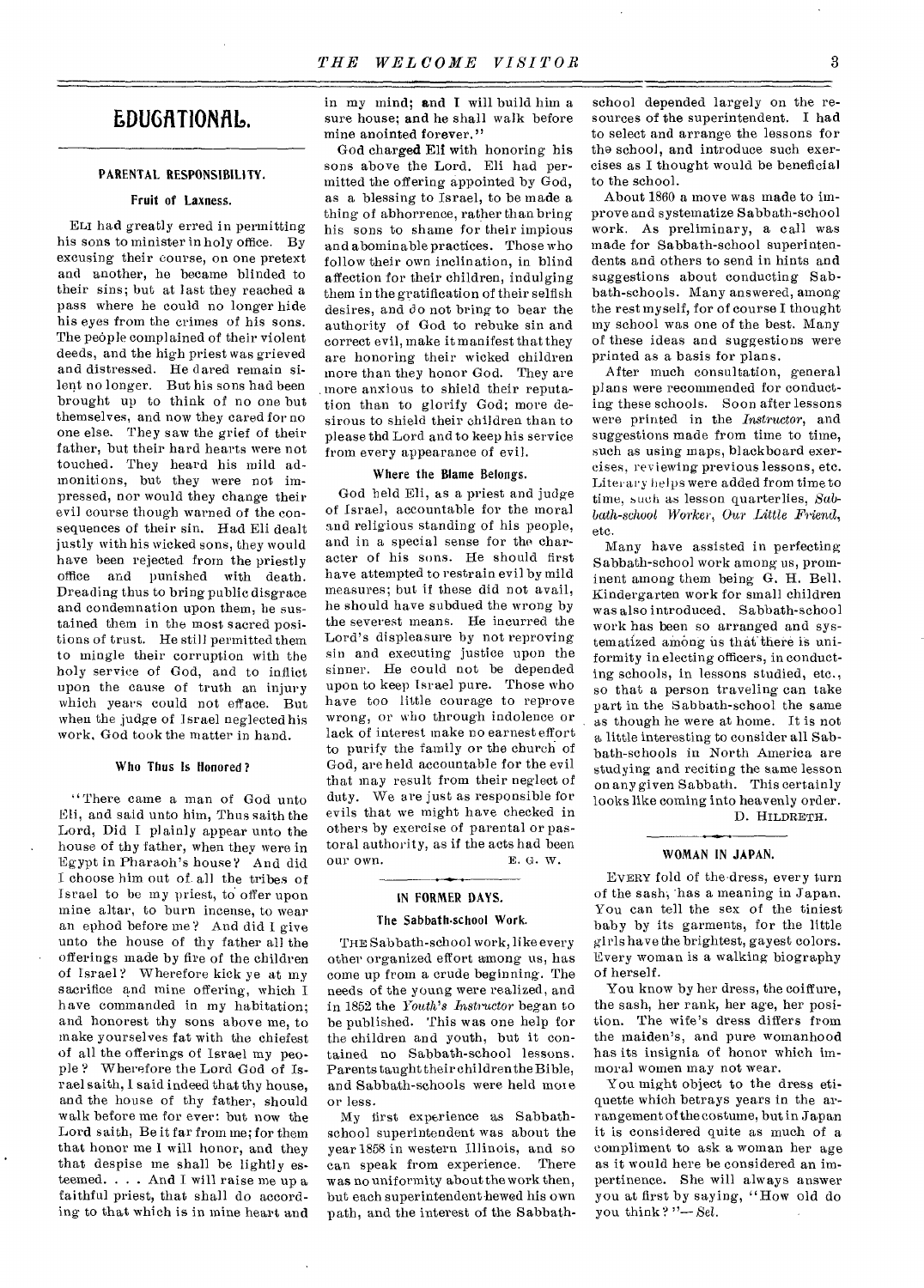## EDUGATIONAL.

#### PARENTAL RESPONSIBILITY.

#### Fruit of Laxness.

ELI had greatly erred in permitting his sons to minister in holy office. By excusing their course, on one pretext and another, he became blinded to their sins; but at last they reached a pass where he could no longer hide his eyes from the crimes of his sons. The people complained of their violent deeds, and the high priest was grieved and distressed. He dared remain silent no longer. But his sons had been brought up to think of no one but themselves, and now they cared for no one else. They saw the grief of their father, but their hard hearts were not touched. They heard his mild admonitions, but they were not impressed, nor would they change their evil course though warned of the consequences of their sin. Had Eli dealt justly with his wicked sons, they would have been rejected from the priestly office and punished with death. Dreading thus to bring public disgrace and condemnation upon them, he sustained them in the most sacred positions of trust. He still permitted them to mingle their corruption with the holy service of God, and to inflict upon the cause of truth an injury which years could not efface. But when the judge of Israel neglected his work, God took the matter in hand.

#### Who Thus Is Honored?

"There came a man of God unto Eli, and said unto him, Thus saith the Lord, Did I plainly appear unto the house of thy father, when they were in Egypt in Pharaoh's house? And did I choose him out of all the tribes of Israel to be my priest, to offer upon mine altar, to burn incense, to wear an ephod before me ? And did I give unto the house of thy father all the offerings made by fire of the children of Israel? Wherefore kick ye at my sacrifice and mine offering, which I have commanded in my habitation; and honorest thy sons above me, to make yourselves fat with the chiefest of all the offerings of Israel my people ? Wherefore the Lord God of Israel saith, I said indeed that thy house, and the house of thy father, should walk before me for ever: but now the Lord saith, Be it far from me; for them that honor me I will honor, and they that despise me shall be lightly esteemed. . . . And I will raise me up a faithful priest, that shall do according to that which is in mine heart and

in my mind; and I will build him a sure house; and he shall walk before mine anointed forever."

God charged Eli with honoring his sons above the Lord. Eli had permitted the offering appointed by God, as a blessing to Israel, to be made a thing of abhorrence, rather than bring his sons to shame for their impious and abominable practices. Those who follow their own inclination, in blind affection for their children, indulging them in the gratification of their selfish desires, and do not bring to bear the authority of God to rebuke sin and correct evil, make it manifest that they are honoring their wicked children more than they honor God. They are more anxious to shield their reputation than to glorify God; more desirous to shield their children than to please thd Lord and to keep his service from every appearance of evil.

#### Where the Blame Belongs.

God held Eli, as a priest and judge of Israel, accountable for the moral and religious standing of his people, and in a special sense for the character of his sons. He should first have attempted to restrain evil by mild measures; but if these did not avail, he should have subdued the wrong by the severest means. He incurred the Lord's displeasure by not reproving sin and executing justice upon the sinner. He could not be depended upon to keep Israel pure. Those who have too little courage to reprove wrong, or who through indolence or lack of interest make no earnest effort to purify the family or the church of God, are held accountable for the evil that may result from their neglect of duty. We are just as responsible for evils that we might have checked in others by exercise of parental or pastoral authority, as if the acts had been our own. E. G. W.

#### IN FORMER DAYS.

#### The Sabbath•school Work.

THE Sabbath-school work, like every other organized effort among us, has come up from a crude beginning. The needs of the young were realized, and in 1852 the *Youth's Instructor* began to be published. This was one help for the children and youth, but it contained no Sabbath-school lessons. Parents taught their children the Bible, and Sabbath-schools were held mote or less.

*My* first experience as Sabbathschool superintendent was about the year 1858 in western Illinois, and so can speak from experience. There was no uniformity about the work then, but each superintendent-hewed his own path, and the interest of the Sabbath-

school depended largely on the resources of the superintendent. I had to select and arrange the lessons for the school, and introduce such exercises as I thought would be beneficial to the school.

About 1860 a move was made to improve and systematize Sabbath-school work. As preliminary, a call was made for Sabbath-school superintendents and others to send in hints and suggestions about conducting Sabbath-schools. Many answered, among the rest myself, for of course I thought my school was one of the best. Many of these ideas and suggestions were printed as a basis for plans.

After much consultation, general plans were recommended for conducting these schools. Soon after lessons were printed in the *Instructor,* and suggestions made from time to time, such as using maps, blackboard exercises, reviewing previous lessons, etc. Literary helps were added from time to time, such as lesson quarterlies, *Sabbath-school Worker, Our Little Friend,*  etc.

Many have assisted in perfecting Sabbath-school work among us, prominent among them being G. H. Bell. Kindergarten work for small children was also introduced. Sabbath-school work has been so arranged and systematized among us that there is uniformity in electing officers, in conducting schools, in lessons studied, etc., so that a person traveling can take part in the Sabbath-school the same as though he were at home. It is not a little interesting to consider all Sabbath-schools in North America are studying and reciting the same lesson on any given Sabbath. This certainly looks like coming into heavenly order.

D. HILDRETH.

#### WOMAN IN JAPAN.

EVERY fold of the dress, every turn of the sash; has a meaning in Japan. You can tell the sex of the tiniest baby by its garments, for the little girls have the brightest, gayest colors. Every woman is a walking biography of herself.

You know by her dress, the coiffure, the sash, her rank, her age, her position. The wife's dress differs from the maiden's, and pure womanhood has its insignia of honor which immoral women may not wear.

You might object to the dress etiquette which betrays years in the arrangement of the costume, but in Japan it is considered quite as much of a compliment to ask a woman her age as it would here be considered an impertinence. She will always answer you at first by saying, "How old do you think?  $"$  - Sel.